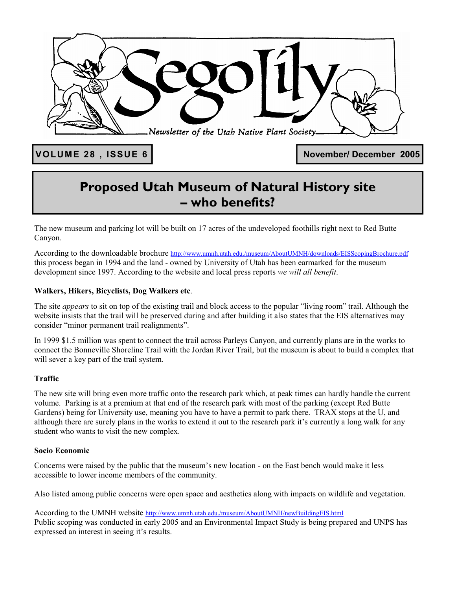

VOLUME 28, ISSUE 6 **November/ December 2005** 

## **Proposed Utah Museum of Natural History site – who benefits?**

The new museum and parking lot will be built on 17 acres of the undeveloped foothills right next to Red Butte Canyon.

According to the downloadable brochure http://www.umnh.utah.edu./museum/AboutUMNH/downloads/EISScopingBrochure.pdf this process began in 1994 and the land - owned by University of Utah has been earmarked for the museum development since 1997. According to the website and local press reports *we will all benefit*.

#### **Walkers, Hikers, Bicyclists, Dog Walkers etc**.

The site *appears* to sit on top of the existing trail and block access to the popular "living room" trail. Although the website insists that the trail will be preserved during and after building it also states that the EIS alternatives may consider "minor permanent trail realignments".

In 1999 \$1.5 million was spent to connect the trail across Parleys Canyon, and currently plans are in the works to connect the Bonneville Shoreline Trail with the Jordan River Trail, but the museum is about to build a complex that will sever a key part of the trail system.

#### **Traffic**

The new site will bring even more traffic onto the research park which, at peak times can hardly handle the current volume. Parking is at a premium at that end of the research park with most of the parking (except Red Butte Gardens) being for University use, meaning you have to have a permit to park there. TRAX stops at the U, and although there are surely plans in the works to extend it out to the research park it's currently a long walk for any student who wants to visit the new complex.

#### **Socio Economic**

Concerns were raised by the public that the museum's new location - on the East bench would make it less accessible to lower income members of the community.

Also listed among public concerns were open space and aesthetics along with impacts on wildlife and vegetation.

According to the UMNH website http://www.umnh.utah.edu./museum/AboutUMNH/newBuildingEIS.html Public scoping was conducted in early 2005 and an Environmental Impact Study is being prepared and UNPS has expressed an interest in seeing it's results.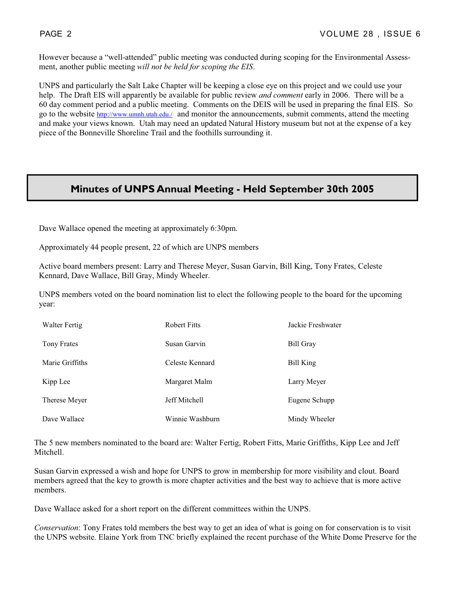However because a "well-attended" public meeting was conducted during scoping for the Environmental Assessment, another public meeting *will not be held for scoping the EIS*.

UNPS and particularly the Salt Lake Chapter will be keeping a close eye on this project and we could use your help. The Draft EIS will apparently be available for public review *and comment* early in 2006. There will be a 60 day comment period and a public meeting. Comments on the DEIS will be used in preparing the final EIS. So go to the website **http://www.umnh.utah.edu./** and monitor the announcements, submit comments, attend the meeting and make your views known. Utah may need an updated Natural History museum but not at the expense of a key piece of the Bonneville Shoreline Trail and the foothills surrounding it.

#### **Minutes of UNPS Annual Meeting - Held September 30th 2005**

Dave Wallace opened the meeting at approximately 6:30pm.

Approximately 44 people present, 22 of which are UNPS members

Active board members present: Larry and Therese Meyer, Susan Garvin, Bill King, Tony Frates, Celeste Kennard, Dave Wallace, Bill Gray, Mindy Wheeler.

UNPS members voted on the board nomination list to elect the following people to the board for the upcoming year:

| Walter Fertig   | <b>Robert Fitts</b> | Jackie Freshwater |
|-----------------|---------------------|-------------------|
| Tony Frates     | Susan Garvin        | Bill Gray         |
| Marie Griffiths | Celeste Kennard     | Bill King         |
| Kipp Lee        | Margaret Malm       | Larry Meyer       |
| Therese Meyer   | Jeff Mitchell       | Eugene Schupp     |
| Dave Wallace    | Winnie Washburn     | Mindy Wheeler     |

The 5 new members nominated to the board are: Walter Fertig, Robert Fitts, Marie Griffiths, Kipp Lee and Jeff Mitchell.

Susan Garvin expressed a wish and hope for UNPS to grow in membership for more visibility and clout. Board members agreed that the key to growth is more chapter activities and the best way to achieve that is more active members.

Dave Wallace asked for a short report on the different committees within the UNPS.

*Conservation*: Tony Frates told members the best way to get an idea of what is going on for conservation is to visit the UNPS website. Elaine York from TNC briefly explained the recent purchase of the White Dome Preserve for the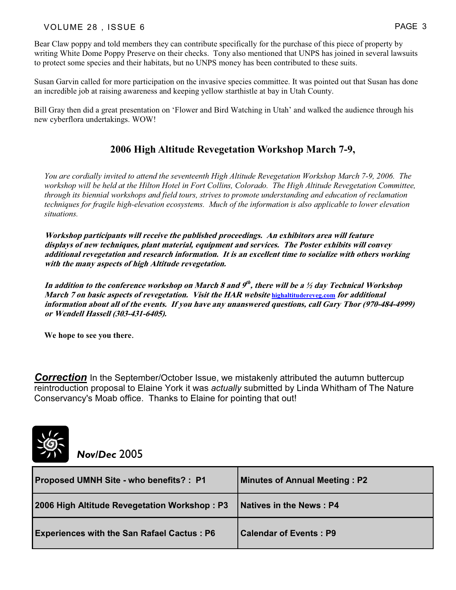#### VOLUME 28 , ISSUE 6 PAGE 3

Bear Claw poppy and told members they can contribute specifically for the purchase of this piece of property by writing White Dome Poppy Preserve on their checks. Tony also mentioned that UNPS has joined in several lawsuits to protect some species and their habitats, but no UNPS money has been contributed to these suits.

Susan Garvin called for more participation on the invasive species committee. It was pointed out that Susan has done an incredible job at raising awareness and keeping yellow starthistle at bay in Utah County.

Bill Gray then did a great presentation on 'Flower and Bird Watching in Utah' and walked the audience through his new cyberflora undertakings. WOW!

#### **2006 High Altitude Revegetation Workshop March 7-9,**

*You are cordially invited to attend the seventeenth High Altitude Revegetation Workshop March 7-9, 2006. The*  workshop will be held at the Hilton Hotel in Fort Collins, Colorado. The High Altitude Revegetation Committee, *through its biennial workshops and field tours, strives to promote understanding and education of reclamation techniques for fragile high-elevation ecosystems. Much of the information is also applicable to lower elevation situations.*

**Workshop participants will receive the published proceedings. An exhibitors area will feature displays of new techniques, plant material, equipment and services. The Poster exhibits will convey additional revegetation and research information. It is an excellent time to socialize with others working with the many aspects of high Altitude revegetation.**

**In addition to the conference workshop on March 8 and 9th , there will be a ½ day Technical Workshop March 7 on basic aspects of revegetation. Visit the HAR website highaltitudereveg.com for additional information about all of the events. If you have any unanswered questions, call Gary Thor (970-484-4999) or Wendell Hassell (303-431-6405).** 

**We hope to see you there**.

**Correction** In the September/October Issue, we mistakenly attributed the autumn buttercup reintroduction proposal to Elaine York it was *actually* submitted by Linda Whitham of The Nature Conservancy's Moab office. Thanks to Elaine for pointing that out!



*Nov/Dec* 2005

| <b>Proposed UMNH Site - who benefits?: P1</b>     | <b>Minutes of Annual Meeting: P2</b> |
|---------------------------------------------------|--------------------------------------|
| 2006 High Altitude Revegetation Workshop: P3      | <b>Natives in the News: P4</b>       |
| <b>Experiences with the San Rafael Cactus: P6</b> | <b>Calendar of Events: P9</b>        |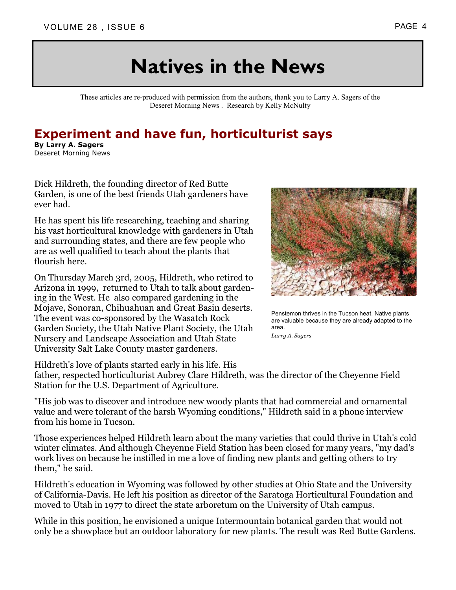# **Natives in the News**

These articles are re-produced with permission from the authors, thank you to Larry A. Sagers of the Deseret Morning News . Research by Kelly McNulty

## **Experiment and have fun, horticulturist says**

**By Larry A. Sagers** Deseret Morning News

Dick Hildreth, the founding director of Red Butte Garden, is one of the best friends Utah gardeners have ever had.

He has spent his life researching, teaching and sharing his vast horticultural knowledge with gardeners in Utah and surrounding states, and there are few people who are as well qualified to teach about the plants that flourish here.

On Thursday March 3rd, 2005, Hildreth, who retired to Arizona in 1999, returned to Utah to talk about gardening in the West. He also compared gardening in the Mojave, Sonoran, Chihuahuan and Great Basin deserts. The event was co-sponsored by the Wasatch Rock Garden Society, the Utah Native Plant Society, the Utah Nursery and Landscape Association and Utah State University Salt Lake County master gardeners.



Penstemon thrives in the Tucson heat. Native plants are valuable because they are already adapted to the area.

*Larry A. Sagers* 

Hildreth's love of plants started early in his life. His

father, respected horticulturist Aubrey Clare Hildreth, was the director of the Cheyenne Field Station for the U.S. Department of Agriculture.

"His job was to discover and introduce new woody plants that had commercial and ornamental value and were tolerant of the harsh Wyoming conditions," Hildreth said in a phone interview from his home in Tucson.

Those experiences helped Hildreth learn about the many varieties that could thrive in Utah's cold winter climates. And although Cheyenne Field Station has been closed for many years, "my dad's work lives on because he instilled in me a love of finding new plants and getting others to try them," he said.

Hildreth's education in Wyoming was followed by other studies at Ohio State and the University of California-Davis. He left his position as director of the Saratoga Horticultural Foundation and moved to Utah in 1977 to direct the state arboretum on the University of Utah campus.

While in this position, he envisioned a unique Intermountain botanical garden that would not only be a showplace but an outdoor laboratory for new plants. The result was Red Butte Gardens.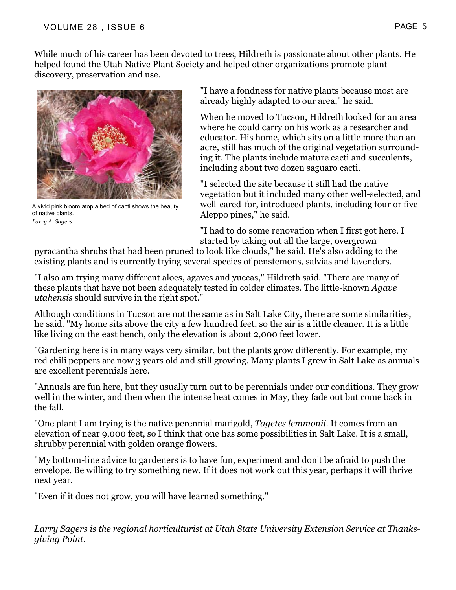While much of his career has been devoted to trees, Hildreth is passionate about other plants. He helped found the Utah Native Plant Society and helped other organizations promote plant discovery, preservation and use.



A vivid pink bloom atop a bed of cacti shows the beauty of native plants. *Larry A. Sagers* 

"I have a fondness for native plants because most are already highly adapted to our area," he said.

When he moved to Tucson, Hildreth looked for an area where he could carry on his work as a researcher and educator. His home, which sits on a little more than an acre, still has much of the original vegetation surrounding it. The plants include mature cacti and succulents, including about two dozen saguaro cacti.

"I selected the site because it still had the native vegetation but it included many other well-selected, and well-cared-for, introduced plants, including four or five Aleppo pines," he said.

"I had to do some renovation when I first got here. I started by taking out all the large, overgrown

pyracantha shrubs that had been pruned to look like clouds," he said. He's also adding to the existing plants and is currently trying several species of penstemons, salvias and lavenders.

"I also am trying many different aloes, agaves and yuccas," Hildreth said. "There are many of these plants that have not been adequately tested in colder climates. The little-known *Agave utahensis* should survive in the right spot."

Although conditions in Tucson are not the same as in Salt Lake City, there are some similarities, he said. "My home sits above the city a few hundred feet, so the air is a little cleaner. It is a little like living on the east bench, only the elevation is about 2,000 feet lower.

"Gardening here is in many ways very similar, but the plants grow differently. For example, my red chili peppers are now 3 years old and still growing. Many plants I grew in Salt Lake as annuals are excellent perennials here.

"Annuals are fun here, but they usually turn out to be perennials under our conditions. They grow well in the winter, and then when the intense heat comes in May, they fade out but come back in the fall.

"One plant I am trying is the native perennial marigold, *Tagetes lemmonii*. It comes from an elevation of near 9,000 feet, so I think that one has some possibilities in Salt Lake. It is a small, shrubby perennial with golden orange flowers.

"My bottom-line advice to gardeners is to have fun, experiment and don't be afraid to push the envelope. Be willing to try something new. If it does not work out this year, perhaps it will thrive next year.

"Even if it does not grow, you will have learned something."

*Larry Sagers is the regional horticulturist at Utah State University Extension Service at Thanksgiving Point.*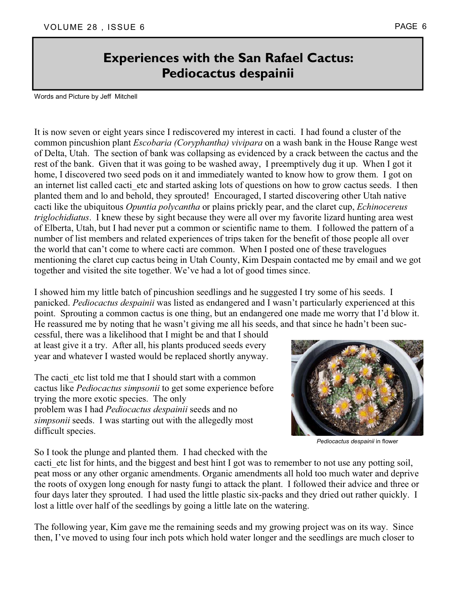## **Experiences with the San Rafael Cactus: Pediocactus despainii**

Words and Picture by Jeff Mitchell

It is now seven or eight years since I rediscovered my interest in cacti. I had found a cluster of the common pincushion plant *Escobaria (Coryphantha) vivipara* on a wash bank in the House Range west of Delta, Utah. The section of bank was collapsing as evidenced by a crack between the cactus and the rest of the bank. Given that it was going to be washed away, I preemptively dug it up. When I got it home, I discovered two seed pods on it and immediately wanted to know how to grow them. I got on an internet list called cacti etc and started asking lots of questions on how to grow cactus seeds. I then planted them and lo and behold, they sprouted! Encouraged, I started discovering other Utah native cacti like the ubiquitous *Opuntia polycantha* or plains prickly pear, and the claret cup, *Echinocereus triglochidiatus*. I knew these by sight because they were all over my favorite lizard hunting area west of Elberta, Utah, but I had never put a common or scientific name to them. I followed the pattern of a number of list members and related experiences of trips taken for the benefit of those people all over the world that can't come to where cacti are common. When I posted one of these travelogues mentioning the claret cup cactus being in Utah County, Kim Despain contacted me by email and we got together and visited the site together. We've had a lot of good times since.

I showed him my little batch of pincushion seedlings and he suggested I try some of his seeds. I panicked. *Pediocactus despainii* was listed as endangered and I wasn't particularly experienced at this point. Sprouting a common cactus is one thing, but an endangered one made me worry that I'd blow it. He reassured me by noting that he wasn't giving me all his seeds, and that since he hadn't been suc-

cessful, there was a likelihood that I might be and that I should at least give it a try. After all, his plants produced seeds every year and whatever I wasted would be replaced shortly anyway.

The cacti etc list told me that I should start with a common cactus like *Pediocactus simpsonii* to get some experience before trying the more exotic species. The only problem was I had *Pediocactus despainii* seeds and no *simpsonii* seeds. I was starting out with the allegedly most difficult species.



*Pediocactus despainii* in flower

So I took the plunge and planted them. I had checked with the

cacti etc list for hints, and the biggest and best hint I got was to remember to not use any potting soil, peat moss or any other organic amendments. Organic amendments all hold too much water and deprive the roots of oxygen long enough for nasty fungi to attack the plant. I followed their advice and three or four days later they sprouted. I had used the little plastic six-packs and they dried out rather quickly. I lost a little over half of the seedlings by going a little late on the watering.

The following year, Kim gave me the remaining seeds and my growing project was on its way. Since then, I've moved to using four inch pots which hold water longer and the seedlings are much closer to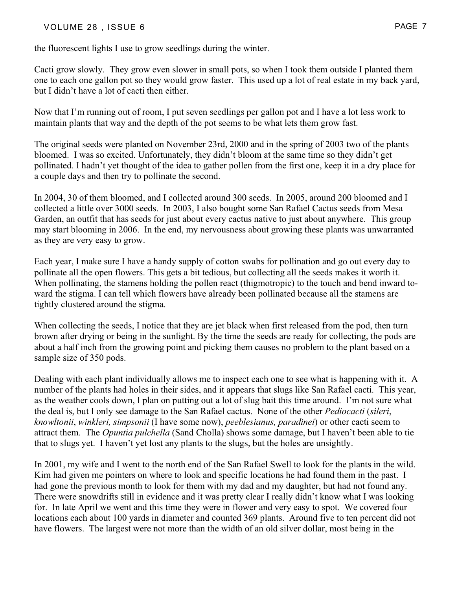#### VOLUME 28, ISSUE 6 PAGE 7

the fluorescent lights I use to grow seedlings during the winter.

Cacti grow slowly. They grow even slower in small pots, so when I took them outside I planted them one to each one gallon pot so they would grow faster. This used up a lot of real estate in my back yard, but I didn't have a lot of cacti then either.

Now that I'm running out of room, I put seven seedlings per gallon pot and I have a lot less work to maintain plants that way and the depth of the pot seems to be what lets them grow fast.

The original seeds were planted on November 23rd, 2000 and in the spring of 2003 two of the plants bloomed. I was so excited. Unfortunately, they didn't bloom at the same time so they didn't get pollinated. I hadn't yet thought of the idea to gather pollen from the first one, keep it in a dry place for a couple days and then try to pollinate the second.

In 2004, 30 of them bloomed, and I collected around 300 seeds. In 2005, around 200 bloomed and I collected a little over 3000 seeds. In 2003, I also bought some San Rafael Cactus seeds from Mesa Garden, an outfit that has seeds for just about every cactus native to just about anywhere. This group may start blooming in 2006. In the end, my nervousness about growing these plants was unwarranted as they are very easy to grow.

Each year, I make sure I have a handy supply of cotton swabs for pollination and go out every day to pollinate all the open flowers. This gets a bit tedious, but collecting all the seeds makes it worth it. When pollinating, the stamens holding the pollen react (thigmotropic) to the touch and bend inward toward the stigma. I can tell which flowers have already been pollinated because all the stamens are tightly clustered around the stigma.

When collecting the seeds, I notice that they are jet black when first released from the pod, then turn brown after drying or being in the sunlight. By the time the seeds are ready for collecting, the pods are about a half inch from the growing point and picking them causes no problem to the plant based on a sample size of 350 pods.

Dealing with each plant individually allows me to inspect each one to see what is happening with it. A number of the plants had holes in their sides, and it appears that slugs like San Rafael cacti. This year, as the weather cools down, I plan on putting out a lot of slug bait this time around. I'm not sure what the deal is, but I only see damage to the San Rafael cactus. None of the other *Pediocacti* (*sileri*, *knowltonii*, *winkleri, simpsonii* (I have some now), *peeblesianus, paradinei*) or other cacti seem to attract them. The *Opuntia pulchella* (Sand Cholla) shows some damage, but I haven't been able to tie that to slugs yet. I haven't yet lost any plants to the slugs, but the holes are unsightly.

In 2001, my wife and I went to the north end of the San Rafael Swell to look for the plants in the wild. Kim had given me pointers on where to look and specific locations he had found them in the past. I had gone the previous month to look for them with my dad and my daughter, but had not found any. There were snowdrifts still in evidence and it was pretty clear I really didn't know what I was looking for. In late April we went and this time they were in flower and very easy to spot. We covered four locations each about 100 yards in diameter and counted 369 plants. Around five to ten percent did not have flowers. The largest were not more than the width of an old silver dollar, most being in the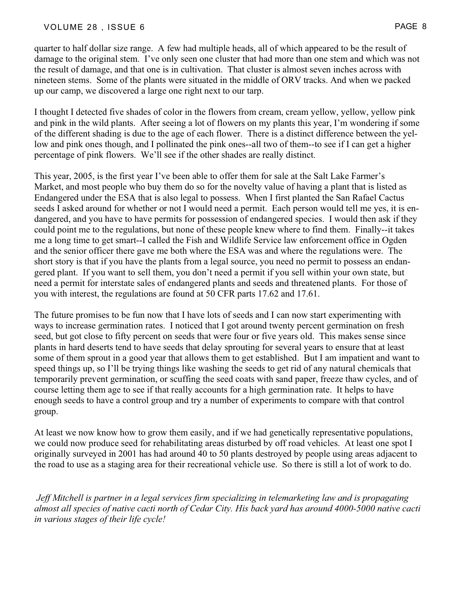quarter to half dollar size range. A few had multiple heads, all of which appeared to be the result of damage to the original stem. I've only seen one cluster that had more than one stem and which was not the result of damage, and that one is in cultivation. That cluster is almost seven inches across with nineteen stems. Some of the plants were situated in the middle of ORV tracks. And when we packed up our camp, we discovered a large one right next to our tarp.

I thought I detected five shades of color in the flowers from cream, cream yellow, yellow, yellow pink and pink in the wild plants. After seeing a lot of flowers on my plants this year, I'm wondering if some of the different shading is due to the age of each flower. There is a distinct difference between the yellow and pink ones though, and I pollinated the pink ones--all two of them--to see if I can get a higher percentage of pink flowers. We'll see if the other shades are really distinct.

This year, 2005, is the first year I've been able to offer them for sale at the Salt Lake Farmer's Market, and most people who buy them do so for the novelty value of having a plant that is listed as Endangered under the ESA that is also legal to possess. When I first planted the San Rafael Cactus seeds I asked around for whether or not I would need a permit. Each person would tell me yes, it is endangered, and you have to have permits for possession of endangered species. I would then ask if they could point me to the regulations, but none of these people knew where to find them. Finally--it takes me a long time to get smart--I called the Fish and Wildlife Service law enforcement office in Ogden and the senior officer there gave me both where the ESA was and where the regulations were. The short story is that if you have the plants from a legal source, you need no permit to possess an endangered plant. If you want to sell them, you don't need a permit if you sell within your own state, but need a permit for interstate sales of endangered plants and seeds and threatened plants. For those of you with interest, the regulations are found at 50 CFR parts 17.62 and 17.61.

The future promises to be fun now that I have lots of seeds and I can now start experimenting with ways to increase germination rates. I noticed that I got around twenty percent germination on fresh seed, but got close to fifty percent on seeds that were four or five years old. This makes sense since plants in hard deserts tend to have seeds that delay sprouting for several years to ensure that at least some of them sprout in a good year that allows them to get established. But I am impatient and want to speed things up, so I'll be trying things like washing the seeds to get rid of any natural chemicals that temporarily prevent germination, or scuffing the seed coats with sand paper, freeze thaw cycles, and of course letting them age to see if that really accounts for a high germination rate. It helps to have enough seeds to have a control group and try a number of experiments to compare with that control group.

At least we now know how to grow them easily, and if we had genetically representative populations, we could now produce seed for rehabilitating areas disturbed by off road vehicles. At least one spot I originally surveyed in 2001 has had around 40 to 50 plants destroyed by people using areas adjacent to the road to use as a staging area for their recreational vehicle use. So there is still a lot of work to do.

*Jeff Mitchell is partner in a legal services firm specializing in telemarketing law and is propagating almost all species of native cacti north of Cedar City. His back yard has around 4000-5000 native cacti in various stages of their life cycle!*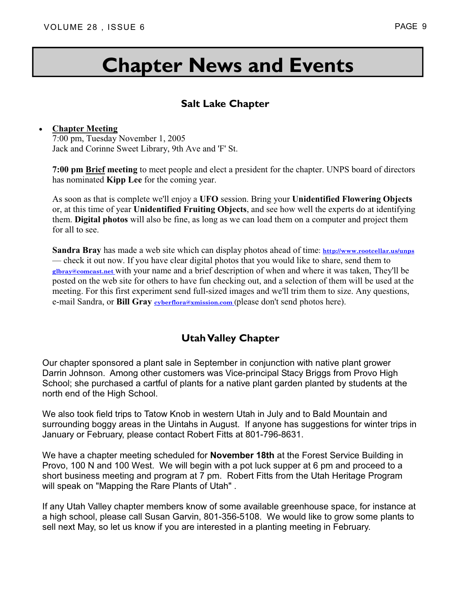# **Chapter News and Events**

### **Salt Lake Chapter**

#### **Chapter Meeting**

7:00 pm, Tuesday November 1, 2005 Jack and Corinne Sweet Library, 9th Ave and 'F' St.

**7:00 pm Brief meeting** to meet people and elect a president for the chapter. UNPS board of directors has nominated **Kipp Lee** for the coming year.

As soon as that is complete we'll enjoy a **UFO** session. Bring your **Unidentified Flowering Objects** or, at this time of year **Unidentified Fruiting Objects**, and see how well the experts do at identifying them. **Digital photos** will also be fine, as long as we can load them on a computer and project them for all to see.

**Sandra Bray** has made a web site which can display photos ahead of time: **http://www.rootcellar.us/unps**  — check it out now. If you have clear digital photos that you would like to share, send them to **glbray@comcast.net** with your name and a brief description of when and where it was taken, They'll be posted on the web site for others to have fun checking out, and a selection of them will be used at the meeting. For this first experiment send full-sized images and we'll trim them to size. Any questions, e-mail Sandra, or **Bill Gray cyberflora@xmission.com** (please don't send photos here).

### **Utah Valley Chapter**

Our chapter sponsored a plant sale in September in conjunction with native plant grower Darrin Johnson. Among other customers was Vice-principal Stacy Briggs from Provo High School; she purchased a cartful of plants for a native plant garden planted by students at the north end of the High School.

We also took field trips to Tatow Knob in western Utah in July and to Bald Mountain and surrounding boggy areas in the Uintahs in August. If anyone has suggestions for winter trips in January or February, please contact Robert Fitts at 801-796-8631.

We have a chapter meeting scheduled for **November 18th** at the Forest Service Building in Provo, 100 N and 100 West. We will begin with a pot luck supper at 6 pm and proceed to a short business meeting and program at 7 pm. Robert Fitts from the Utah Heritage Program will speak on "Mapping the Rare Plants of Utah" .

If any Utah Valley chapter members know of some available greenhouse space, for instance at a high school, please call Susan Garvin, 801-356-5108. We would like to grow some plants to sell next May, so let us know if you are interested in a planting meeting in February.